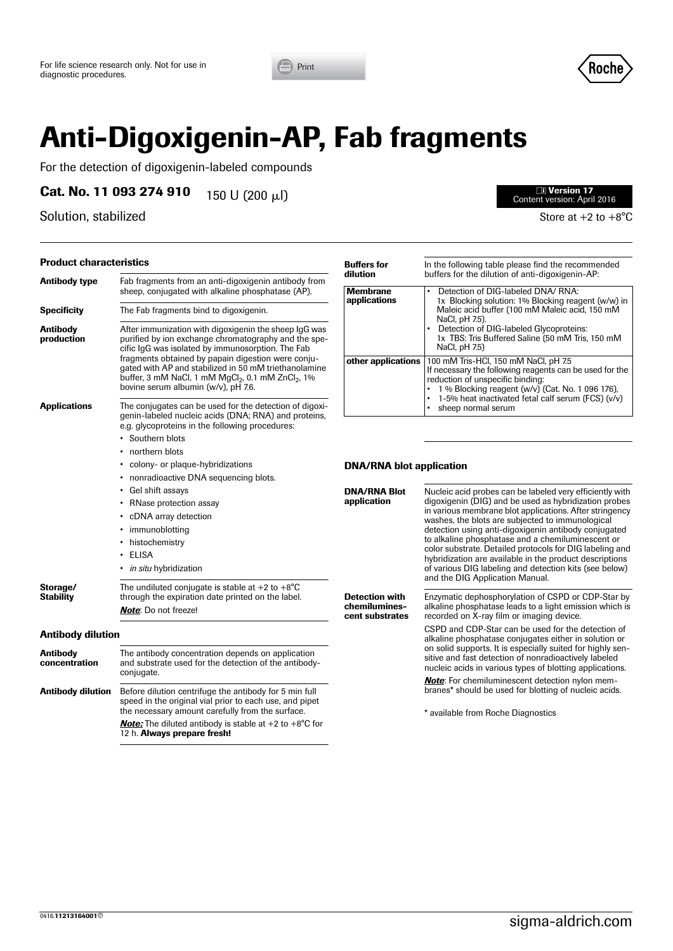



# **Anti-Digoxigenin-AP, Fab fragments**

For the detection of digoxigenin-labeled compounds

**Cat. No. 11 093 274 910** 150 U (200 µl)

Solution, stabilized Solution, stabilized Store at +2 to +8°C

#### **Product characteristics**

| <b>Antibody type</b>             | Fab fragments from an anti-digoxigenin antibody from<br>sheep, conjugated with alkaline phosphatase (AP).                                                                                                                                                                                                                                                                                             |  |
|----------------------------------|-------------------------------------------------------------------------------------------------------------------------------------------------------------------------------------------------------------------------------------------------------------------------------------------------------------------------------------------------------------------------------------------------------|--|
| <b>Specificity</b>               | The Fab fragments bind to digoxigenin.                                                                                                                                                                                                                                                                                                                                                                |  |
| <b>Antibody</b><br>production    | After immunization with digoxigenin the sheep IgG was<br>purified by ion exchange chromatography and the spe-<br>cific IgG was isolated by immunosorption. The Fab<br>fragments obtained by papain digestion were conju-<br>gated with AP and stabilized in 50 mM triethanolamine<br>buffer, 3 mM NaCl, 1 mM MgCl <sub>2</sub> , 0.1 mM ZnCl <sub>2</sub> , 1%<br>bovine serum albumin (w/v), pH 7.6. |  |
| <b>Applications</b>              | The conjugates can be used for the detection of digoxi-<br>genin-labeled nucleic acids (DNA; RNA) and proteins,<br>e.g. glycoproteins in the following procedures:                                                                                                                                                                                                                                    |  |
|                                  | Southern blots                                                                                                                                                                                                                                                                                                                                                                                        |  |
|                                  | northern blots                                                                                                                                                                                                                                                                                                                                                                                        |  |
|                                  | colony- or plaque-hybridizations                                                                                                                                                                                                                                                                                                                                                                      |  |
|                                  | nonradioactive DNA sequencing blots.                                                                                                                                                                                                                                                                                                                                                                  |  |
|                                  | Gel shift assays                                                                                                                                                                                                                                                                                                                                                                                      |  |
|                                  | RNase protection assay                                                                                                                                                                                                                                                                                                                                                                                |  |
|                                  | cDNA array detection                                                                                                                                                                                                                                                                                                                                                                                  |  |
|                                  | immunoblotting<br>• histochemistry                                                                                                                                                                                                                                                                                                                                                                    |  |
|                                  | ELISA<br>$\bullet$                                                                                                                                                                                                                                                                                                                                                                                    |  |
|                                  | in situ hybridization                                                                                                                                                                                                                                                                                                                                                                                 |  |
| Storage/<br><b>Stability</b>     | The undiluted conjugate is stable at $+2$ to $+8^{\circ}$ C<br>through the expiration date printed on the label.                                                                                                                                                                                                                                                                                      |  |
|                                  | <b>Note:</b> Do not freeze!                                                                                                                                                                                                                                                                                                                                                                           |  |
| <b>Antibody dilution</b>         |                                                                                                                                                                                                                                                                                                                                                                                                       |  |
| <b>Antibody</b><br>concentration | The antibody concentration depends on application<br>and substrate used for the detection of the antibody-<br>conjugate.                                                                                                                                                                                                                                                                              |  |
| <b>Antibody dilution</b>         | Before dilution centrifuge the antibody for 5 min full<br>speed in the original vial prior to each use, and pipet<br>the necessary amount carefully from the surface.                                                                                                                                                                                                                                 |  |

*Note:* The diluted antibody is stable at +2 to +8°C for

12 h. **Always prepare fresh!** 

| <b>Buffers for</b><br>dilution  | In the following table please find the recommended<br>buffers for the dilution of anti-digoxigenin-AP:                                                                                                                                                                       |
|---------------------------------|------------------------------------------------------------------------------------------------------------------------------------------------------------------------------------------------------------------------------------------------------------------------------|
| <b>Membrane</b><br>applications | Detection of DIG-labeled DNA/ RNA:<br>1x Blocking solution: 1% Blocking reagent (w/w) in<br>Maleic acid buffer (100 mM Maleic acid, 150 mM<br>NaCl, pH 7.5).<br>Detection of DIG-labeled Glycoproteins:<br>1x TBS: Tris Buffered Saline (50 mM Tris, 150 mM<br>NaCl, pH 7.5) |
| other applications              | 100 mM Tris-HCl, 150 mM NaCl, pH 7.5<br>If necessary the following reagents can be used for the<br>reduction of unspecific binding:<br>1 % Blocking reagent (w/v) (Cat. No. 1 096 176),<br>1-5% heat inactivated fetal calf serum (FCS) (v/v)<br>sheep normal serum          |

### **DNA/RNA blot application**

| ነ°ር                  | <b>DNA/RNA Blot</b><br>application                        | Nucleic acid probes can be labeled very efficiently with<br>digoxigenin (DIG) and be used as hybridization probes<br>in various membrane blot applications. After stringency<br>washes, the blots are subjected to immunological<br>detection using anti-digoxigenin antibody conjugated<br>to alkaline phosphatase and a chemiluminescent or<br>color substrate. Detailed protocols for DIG labeling and<br>hybridization are available in the product descriptions<br>of various DIG labeling and detection kits (see below)<br>and the DIG Application Manual. |  |
|----------------------|-----------------------------------------------------------|-------------------------------------------------------------------------------------------------------------------------------------------------------------------------------------------------------------------------------------------------------------------------------------------------------------------------------------------------------------------------------------------------------------------------------------------------------------------------------------------------------------------------------------------------------------------|--|
| bel.                 | <b>Detection with</b><br>chemilumines-<br>cent substrates | Enzymatic dephosphorylation of CSPD or CDP-Star by<br>alkaline phosphatase leads to a light emission which is<br>recorded on X-ray film or imaging device.                                                                                                                                                                                                                                                                                                                                                                                                        |  |
| ication<br>ntibody-  |                                                           | CSPD and CDP-Star can be used for the detection of<br>alkaline phosphatase conjugates either in solution or<br>on solid supports. It is especially suited for highly sen-<br>sitive and fast detection of nonradioactively labeled<br>nucleic acids in various types of blotting applications.                                                                                                                                                                                                                                                                    |  |
| min full<br>nd pipet |                                                           | <b>Note:</b> For chemiluminescent detection nylon mem-<br>branes* should be used for blotting of nucleic acids.                                                                                                                                                                                                                                                                                                                                                                                                                                                   |  |
| ace.                 |                                                           | * available from Roche Diagnostics                                                                                                                                                                                                                                                                                                                                                                                                                                                                                                                                |  |

## l) <sup>y</sup> **Version 17** Content version: April 2016